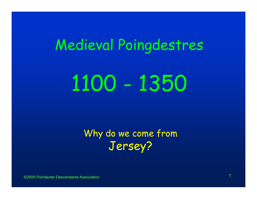# Medieval Poingdestres 1100 - 1350

Why do we come from Jersey?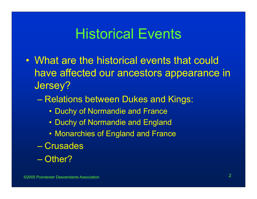### Historical Events

- What are the historical events that could have affected our ancestors appearance in Jersey?
	- Relations between Dukes and Kings:
		- Duchy of Normandie and France
		- Duchy of Normandie and England
		- Monarchies of England and France
	- Crusades
	- Other?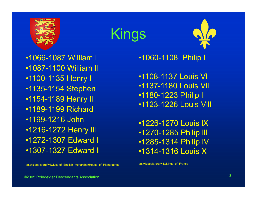

Kings

•1066-1087 William l •1087-1100 William ll •1100-1135 Henry l •1135-1154 Stephen •1154-1189 Henry ll •1189-1199 Richard•1199-1216 John•1216-1272 Henry lll •1272-1307 Edward l •1307-1327 Edward ll

en.wikipedia.org/wiki/List\_of\_English\_monarchs#House\_of\_Plantagenet

•1060-1108 Philip l

•1108-1137 Louis Vl •1137-1180 Louis Vll •1180-1223 Philip ll •1123-1226 Louis Vlll

•1226-1270 Louis lX•1270-1285 Philip lll •1285-1314 Philip lV •1314-1316 Louis X

en.wikipedia.org/wiki/Kings\_of\_France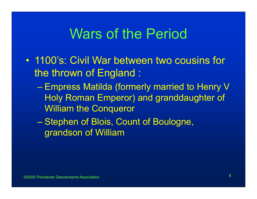### Wars of the Period

- $\bullet$  1100's: Civil War between two cousins for the thrown of England :
	- Charles Constantinopolis Empress Matilda (formerly married to Henry V Holy Roman Emperor) and granddaughter of William the Conqueror
	- Stephen of Blois, Count of Boulogne, grandson of William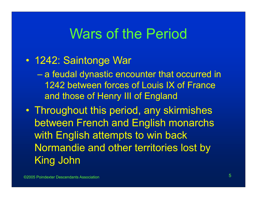### Wars of the Period

#### $\bullet$ 1242: Saintonge War

- $\mathcal{L}_{\mathcal{A}}$  , and the set of the set of the set of the set of the set of the set of the set of the set of the set of the set of the set of the set of the set of the set of the set of the set of the set of the set of th a feudal dynastic encounter that occurred in 1242 between forces of Louis IX of France and those of Henry III of England
- Throughout this period, any skirmishes between French and English monarchs with English attempts to win back Normandie and other territories lost by King John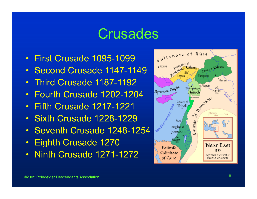### **Crusades**

- First Crusade 1095-1099
- Second Crusade 1147-1149
- •Third Crusade 1187-1192
- $\bullet$ Fourth Crusade 1202-1204
- Fifth Crusade 1217-1221
- Sixth Crusade 1228-1229
- Seventh Crusade 1248-1254
- $\bullet$ Eighth Crusade 1270
- •Ninth Crusade 1271-1272

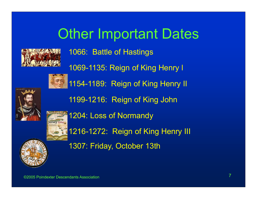## Other Important Dates



1066: Battle of Hastings 1069-1135: Reign of King Henry l 1154-1189: Reign of King Henry II 1199-1216: Reign of King John 1204: Loss of Normandy 1216-1272: Reign of King Henry III 1307: Friday, October 13th



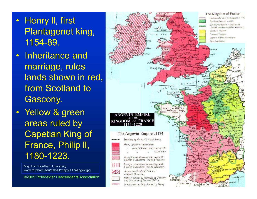- Henry ll, first Plantagenet king, 1154-89.
- $\bullet$  Inheritance and marriage, rules lands shown in red, from Scotland to Gascony.
- Yellow & green areas ruled by Capetian King of France, Philip ll, 1180-1223.

Map from Fordham University www.fordham.edu/halsall/maps/1174angev.jpg

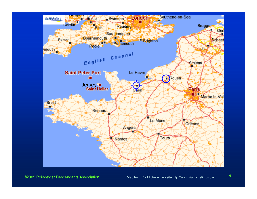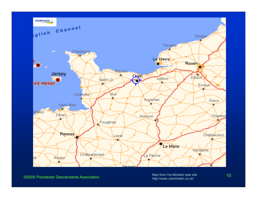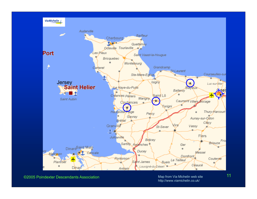

©2005 Poindexter Descendants Association

Map from Via Michelin web site 11 http://www.viamichelin.co.uk/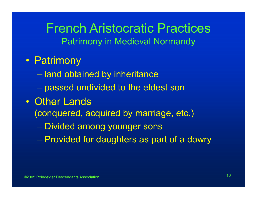### French Aristocratic PracticesPatrimony in Medieval Normandy

- Patrimony
	- $\mathcal{L}_{\mathcal{A}}$  , and the set of the set of the set of the set of the set of the set of the set of the set of the set of the set of the set of the set of the set of the set of the set of the set of the set of the set of th land obtained by inheritance
	- Charles Constantinopolis passed undivided to the eldest son
- $\bullet$  Other Lands
	- (conquered, acquired by marriage, etc.)
		- Charles Constantinopolis Divided among younger sons
	- Provided for daughters as part of a dowry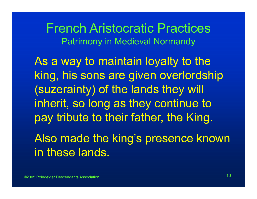French Aristocratic PracticesPatrimony in Medieval Normandy

As a way to maintain loyalty to the king, his sons are given overlordship (suzerainty) of the lands they will inherit, so long as they continue to pay tribute to their father, the King.

Also made the king's presence known in these lands.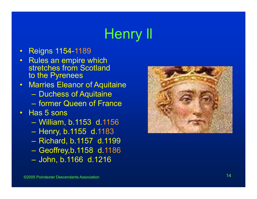# Henry ll

- $\bullet$ Reigns 1154-1189
- $\bullet$  Rules an empire which stretches from Scotland to the Pyrenees
- $\bullet$  Marries Eleanor of Aquitaine
	- Duchess of Aquitaine
	- former Queen of France
- $\bullet$  Has 5 sons
	- William, b.1153 d.1156
	- Henry, b.1155 d.1183
	- Richard, b.1157 d.1199
	- Geoffrey,b.1158 d.1186
	- John, b.1166 d.1216

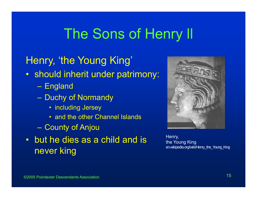### Henry, 'the Young King'

- should inherit under patrimony:
	- England
	- Duchy of Normandy
		- including Jersey
		- and the other Channel Islands
	- County of Anjou
- but he dies as a child and is never king



Henry, the Young King en.wikipedia.org/wiki/Henry\_the\_Young\_King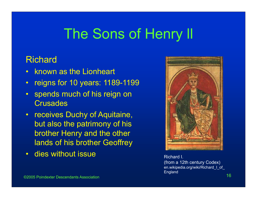#### Richard

- $\bullet$ known as the Lionheart
- $\bullet$ reigns for 10 years: 1189-1199
- $\bullet$  spends much of his reign on **Crusades**
- • receives Duchy of Aquitaine, but also the patrimony of his brother Henry and the other lands of his brother Geoffrey
- $\bullet$ dies without issue **Richard I.** Richard I.



 $\sim$  16  $\,$  16  $\,$  16  $\,$  16  $\,$  16  $\,$  16  $\,$  16  $\,$  16  $\,$  16  $\,$  16  $\,$  16  $\,$  16 (from a 12th century Codex) en.wikipedia.org/wiki/Richard I of England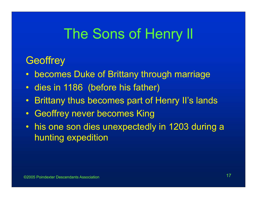#### **Geoffrey**

- •becomes Duke of Brittany through marriage
- $\bullet$ dies in 1186 (before his father)
- $\bullet$ Brittany thus becomes part of Henry II's lands
- $\bullet$ Geoffrey never becomes King
- his one son dies unexpectedly in 1203 during a hunting expedition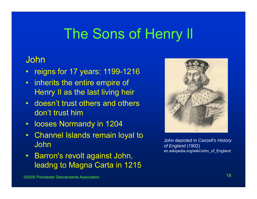#### John

- $\bullet$ reigns for 17 years: 1199-1216
- • inherits the entire empire of Henry II as the last living heir
- • doesn't trust others and others don't trust him
- •looses Normandy in 1204
- $\bullet$  Channel Islands remain loyal to John
- $\bullet$  Barron's revolt against John, leadng to Magna Carta in 1215



John depicted in *Cassell's History of England* (1902) en.wikipedia.org/wiki/John\_of\_England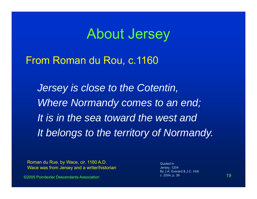### About Jersey

#### From Roman du Rou, c.1160

*Jersey is close to the Cotentin, Where Normandy comes to an end; It is in the sea toward the west andIt belongs to the territory of Normandy.*

Roman du Rue, by Wace, cir. 1160 A.D. Wace was from Jersey and a writer/historian

©2005 Poindexter Descendants Association

n and the contract of the contract of  $\sim$  2004, p. 39  $\sim$  19  $\sim$  19  $\sim$ Quoted inJersey, 1204 By J.A. Everard & J.C. Holt c. 2004, p. 39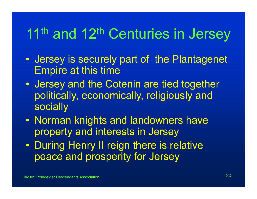# 11<sup>th</sup> and 12<sup>th</sup> Centuries in Jersey

- $\mathbf C$  Jersey is securely part of the Plantagenet Empire at this time
- $\bullet$  Jersey and the Cotenin are tied together politically, economically, religiously and socially
- Norman knights and landowners have property and interests in Jersey
- During Henry II reign there is relative peace and prosperity for Jersey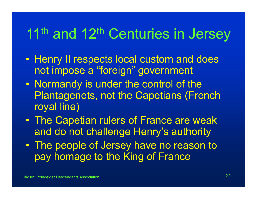# 11<sup>th</sup> and 12<sup>th</sup> Centuries in Jersey

- Henry II respects local custom and does not impose a "foreign" government
- $\bullet$  Normandy is under the control of the Plantagenets, not the Capetians (French royal line)
- $\bullet$  The Capetian rulers of France are weak and do not challenge Henry's authority
- $\bullet$  The people of Jersey have no reason to pay homage to the King of France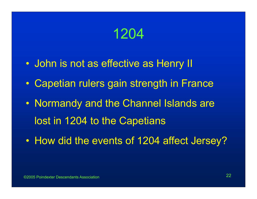### 1204

- $\bullet$ John is not as effective as Henry II
- $\mathbf C$ Capetian rulers gain strength in France
- $\bullet$  Normandy and the Channel Islands are lost in 1204 to the Capetians
- $\bullet$ How did the events of 1204 affect Jersey?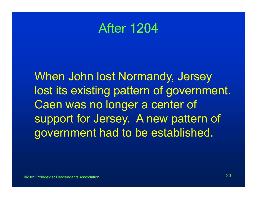### After 1204

When John lost Normandy, Jersey lost its existing pattern of government. Caen was no longer a center of support for Jersey. A new pattern of government had to be established.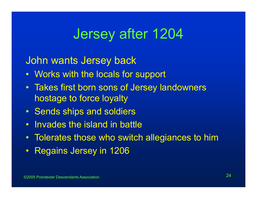### Jersey after 1204

John wants Jersey back

- Works with the locals for support
- Takes first born sons of Jersey landowners hostage to force loyalty
- Sends ships and soldiers
- $\bullet$ Invades the island in battle
- $\bullet$ Tolerates those who switch allegiances to him
- •Regains Jersey in 1206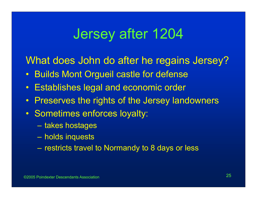### Jersey after 1204

What does John do after he regains Jersey?

- $\bullet$ Builds Mont Orgueil castle for defense
- $\bullet$ Establishes legal and economic order
- $\bullet$ Preserves the rights of the Jersey landowners
- Sometimes enforces loyalty:
	- takes hostages
	- holds inquests
	- restricts travel to Normandy to 8 days or less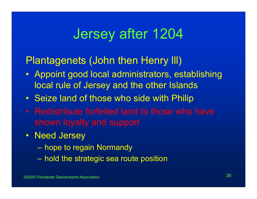### Jersey after 1204

### Plantagenets (John then Henry lll)

- Appoint good local administrators, establishing local rule of Jersey and the other Islands
- Seize land of those who side with Philip
- Redistribute forfeited land to those who have shown loyalty and support
- Need Jersey
	- hope to regain Normandy
	- hold the strategic sea route position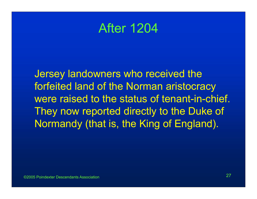### After 1204

Jersey landowners who received the forfeited land of the Norman aristocracy were raised to the status of tenant-in-chief. They now reported directly to the Duke of Normandy (that is, the King of England).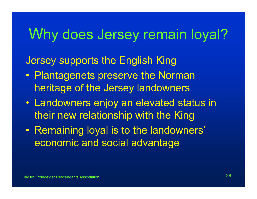### Why does Jersey remain loyal?

### Jersey supports the English King

- Plantagenets preserve the Norman heritage of the Jersey landowners
- Landowners enjoy an elevated status in their new relationship with the King
- $\bullet$  Remaining loyal is to the landowners' economic and social advantage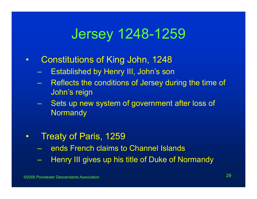### Jersey 1248-1259

- $\bullet$  Constitutions of King John, 1248
	- Established by Henry III, John's son
	- Reflects the conditions of Jersey during the time of John's reign
	- Sets up new system of government after loss of **Normandy**
- $\bullet$  Treaty of Paris, 1259
	- ends French claims to Channel Islands
	- Henry III gives up his title of Duke of Normandy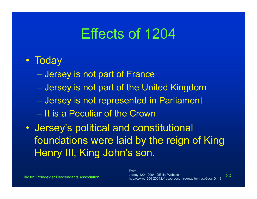### Effects of 1204

### • Today

- $\mathcal{L}_{\mathcal{A}}$  , and the set of the set of the set of the set of the set of the set of the set of the set of the set of the set of the set of the set of the set of the set of the set of the set of the set of the set of th Jersey is not part of France
- Charles Constantinopolis Jersey is not part of the United Kingdom
- Jersey is not represented in Parliament
- It is a Peculiar of the Crown
- $\bullet$  Jersey's political and constitutional foundations were laid by the reign of King Henry III, King John's son.

 <sup>30</sup> http://www.1204-2004.je/resourcecentre/readitem.asp?docID=48FromJersey 1204-2004: Official Website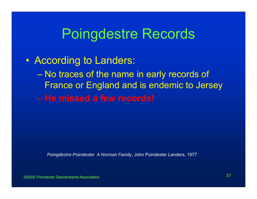• According to Landers:  $\mathcal{L}_{\mathcal{A}}$  , and the set of the set of the set of the set of the set of the set of the set of the set of the set of the set of the set of the set of the set of the set of the set of the set of the set of the set of th No traces of the name in early records of France or England and is endemic to Jersey – **He missed a few records!**

*Poingdestre-Poindexter A Norman Family*, John Poindexter Landers, 1977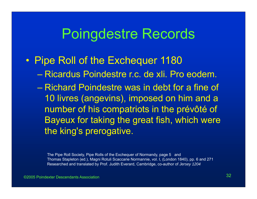#### $\bullet$ Pipe Roll of the Exchequer 1180

- Ricardus Poindestre r.c. de xli. Pro eodem.
- Richard Poindestre was in debt for a fine of 10 livres (angevins), imposed on him and a number of his compatriots in the prévôté of Bayeux for taking the great fish, which were the king's prerogative.

The Pipe Roll Society, Pipe Rolls of the Exchequer of Normandy, page 5 and Thomas Stapleton (ed.), Magni Rotuli Scaccarie Normannie, vol. I, (London 1840), pp. 6 and 271 Researched and translated by Prof. Judith Everard, Cambridge, co-author of *Jersey 1204*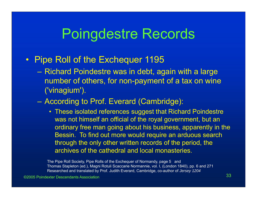#### $\bullet$ Pipe Roll of the Exchequer 1195

- Richard Poindestre was in debt, again with a large number of others, for non-payment of a tax on wine ('vinagium').
- According to Prof. Everard (Cambridge):
	- These isolated references suggest that Richard Poindestre was not himself an official of the royal government, but an ordinary free man going about his business, apparently in the Bessin. To find out more would require an arduous search through the only other written records of the period, the archives of the cathedral and local monasteries.

The Pipe Roll Society, Pipe Rolls of the Exchequer of Normandy, page 5 and Thomas Stapleton (ed.), Magni Rotuli Scaccarie Normannie, vol. I, (London 1840), pp. 6 and 271 Researched and translated by Prof. Judith Everard, Cambridge, co-author of *Jersey 1204*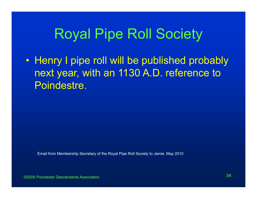### Royal Pipe Roll Society

• Henry I pipe roll will be published probably next year, with an 1130 A.D. reference to Poindestre.

Email from Membership Secretary of the Royal Pipe Roll Society to Jamie, May 2010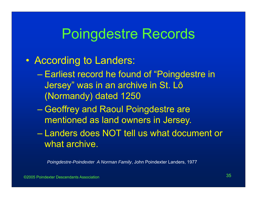#### • According to Landers:

- $\mathcal{L}_{\mathcal{A}}$  , and the set of the set of the set of the set of the set of the set of the set of the set of the set of the set of the set of the set of the set of the set of the set of the set of the set of the set of th Earliest record he found of "Poingdestre in Jersey" was in an archive in St. Lô (Normandy) dated 1250
- Geoffrey and Raoul Poingdestre are mentioned as land owners in Jersey.
- Landers does NOT tell us what document or what archive.

*Poingdestre-Poindexter A Norman Family*, John Poindexter Landers, 1977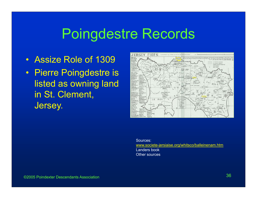- Assize Role of 1309
- Pierre Poingdestre is listed as owning land in St. Clement, Jersey.



Sources:www.societe-jersiaise.org/whitsco/balleinenam.htm Landers bookOther sources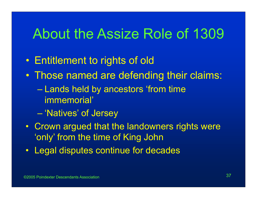### About the Assize Role of 1309

- $\bullet$ Entitlement to rights of old
- $\bullet$  Those named are defending their claims:
	- Lands held by ancestors 'from time immemorial'
	- $\mathcal{L}_{\mathcal{A}}$  , and the set of the set of the set of the set of the set of the set of the set of the set of the set of the set of the set of the set of the set of the set of the set of the set of the set of the set of th 'Natives' of Jersey
- Crown argued that the landowners rights were 'only' from the time of King John
- Legal disputes continue for decades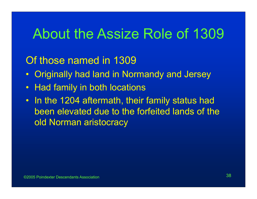### About the Assize Role of 1309

### Of those named in 1309

- $\bullet$ Originally had land in Normandy and Jersey
- •Had family in both locations
- In the 1204 aftermath, their family status had been elevated due to the forfeited lands of the old Norman aristocracy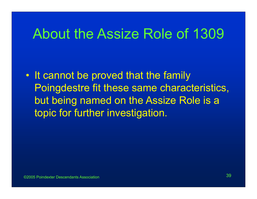### About the Assize Role of 1309

 $\bullet$  It cannot be proved that the family Poingdestre fit these same characteristics, but being named on the Assize Role is a topic for further investigation.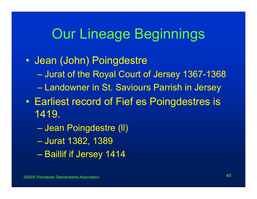### Our Lineage Beginnings

- $\bullet$  Jean (John) Poingdestre  $\mathcal{L}_{\mathcal{A}}$  , and the set of the set of the set of the set of the set of the set of the set of the set of the set of the set of the set of the set of the set of the set of the set of the set of the set of the set of th Jurat of the Royal Court of Jersey 1367-1368 – Charles Constantinopolis Landowner in St. Saviours Parrish in Jersey  $\bullet$  Earliest record of Fief es Poingdestres is 1419.
	- Charles Constantinopolis Jean Poingdestre (ll)  $\mathcal{L}_{\mathcal{A}}$  , and the set of the set of the set of the set of the set of the set of the set of the set of the set of the set of the set of the set of the set of the set of the set of the set of the set of the set of th Jurat 1382, 1389 – Paris Paris II. Baillif if Jersey 1414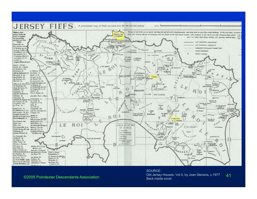

#### ©2005 Poindexter Descendants Association

#### <sup>41</sup> Old Jersey Houses, Vol II, by Joan Stevens, c.1977 SOURCE:Back inside cover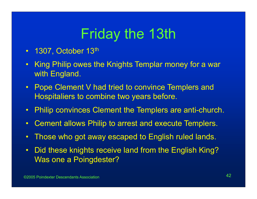# Friday the 13th

- $\bullet$ 1307, October 13th
- $\bullet$  King Philip owes the Knights Templar money for a war with England.
- $\bullet$ **Pope Clement V had tried to convince Templers and** Hospitaliers to combine two years before.
- $\bullet$ Philip convinces Clement the Templers are anti-church.
- $\bullet$ Cement allows Philip to arrest and execute Templers.
- $\bullet$ Those who got away escaped to English ruled lands.
- $\bullet$  Did these knights receive land from the English King? Was one a Poingdester?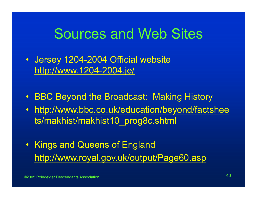### Sources and Web Sites

- Jersey 1204-2004 Official website http://www.1204-2004.je/
- •BBC Beyond the Broadcast: Making History
- • http://www.bbc.co.uk/education/beyond/factshee ts/makhist/makhist10\_prog8c.shtml
- Kings and Queens of England http://www.royal.gov.uk/output/Page60.asp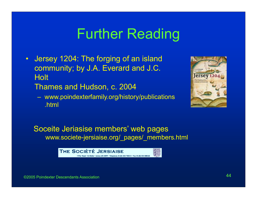### Further Reading

 $\bullet$  Jersey 1204: The forging of an island community; by J.A. Everard and J.C. **Holt** 

Thames and Hudson, c. 2004

 www.poindexterfamily.org/history/publications .html



Soceite Jeriasise members' web pages www.societe-jersiaise.org/\_pages/\_members.html